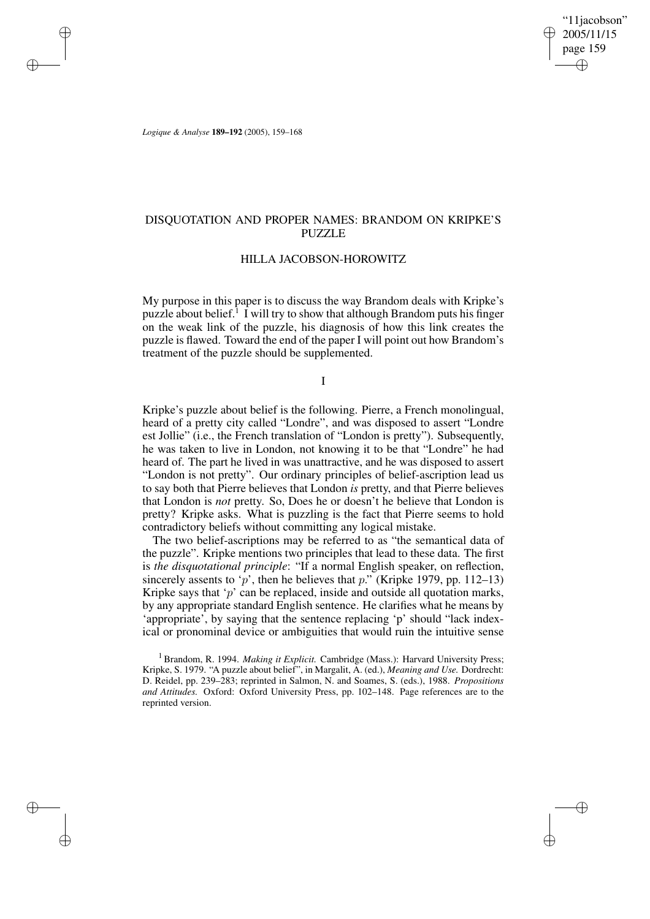"11jacobson" 2005/11/15 page 159 ✐ ✐

✐

✐

*Logique & Analyse* **189–192** (2005), 159–168

✐

✐

✐

✐

## DISQUOTATION AND PROPER NAMES: BRANDOM ON KRIPKE'S PUZZLE

### HILLA JACOBSON-HOROWITZ

My purpose in this paper is to discuss the way Brandom deals with Kripke's puzzle about belief.<sup>1</sup> I will try to show that although Brandom puts his finger on the weak link of the puzzle, his diagnosis of how this link creates the puzzle is flawed. Toward the end of the paper I will point out how Brandom's treatment of the puzzle should be supplemented.

I

Kripke's puzzle about belief is the following. Pierre, a French monolingual, heard of a pretty city called "Londre", and was disposed to assert "Londre est Jollie" (i.e., the French translation of "London is pretty"). Subsequently, he was taken to live in London, not knowing it to be that "Londre" he had heard of. The part he lived in was unattractive, and he was disposed to assert "London is not pretty". Our ordinary principles of belief-ascription lead us to say both that Pierre believes that London *is* pretty, and that Pierre believes that London is *not* pretty. So, Does he or doesn't he believe that London is pretty? Kripke asks. What is puzzling is the fact that Pierre seems to hold contradictory beliefs without committing any logical mistake.

The two belief-ascriptions may be referred to as "the semantical data of the puzzle". Kripke mentions two principles that lead to these data. The first is *the disquotational principle*: "If a normal English speaker, on reflection, sincerely assents to 'p', then he believes that p." (Kripke 1979, pp. 112–13) Kripke says that ' $p$ ' can be replaced, inside and outside all quotation marks, by any appropriate standard English sentence. He clarifies what he means by 'appropriate', by saying that the sentence replacing 'p' should "lack indexical or pronominal device or ambiguities that would ruin the intuitive sense

<sup>1</sup> Brandom, R. 1994. *Making it Explicit.* Cambridge (Mass.): Harvard University Press; Kripke, S. 1979. "A puzzle about belief", in Margalit, A. (ed.), *Meaning and Use.* Dordrecht: D. Reidel, pp. 239–283; reprinted in Salmon, N. and Soames, S. (eds.), 1988. *Propositions and Attitudes.* Oxford: Oxford University Press, pp. 102–148. Page references are to the reprinted version.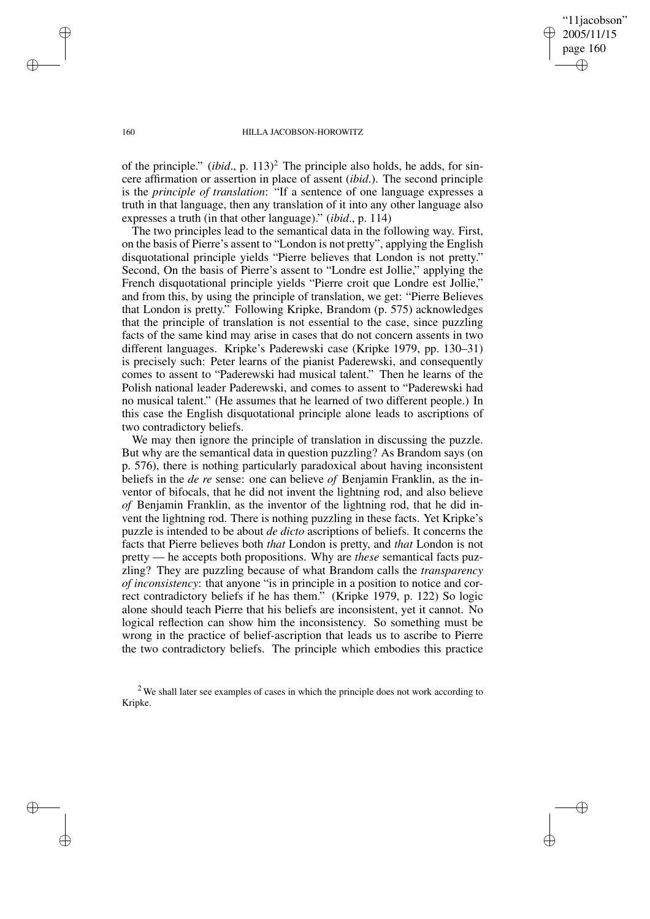"11jacobson" 2005/11/15 page 160 ✐ ✐

✐

✐

#### 160 HILLA JACOBSON-HOROWITZ

of the principle." *(ibid., p.* 113)<sup>2</sup> The principle also holds, he adds, for sincere affirmation or assertion in place of assent (*ibid*.). The second principle is the *principle of translation*: "If a sentence of one language expresses a truth in that language, then any translation of it into any other language also expresses a truth (in that other language)." (*ibid*., p. 114)

The two principles lead to the semantical data in the following way. First, on the basis of Pierre's assent to "London is not pretty", applying the English disquotational principle yields "Pierre believes that London is not pretty." Second, On the basis of Pierre's assent to "Londre est Jollie," applying the French disquotational principle yields "Pierre croit que Londre est Jollie," and from this, by using the principle of translation, we get: "Pierre Believes that London is pretty." Following Kripke, Brandom (p. 575) acknowledges that the principle of translation is not essential to the case, since puzzling facts of the same kind may arise in cases that do not concern assents in two different languages. Kripke's Paderewski case (Kripke 1979, pp. 130–31) is precisely such: Peter learns of the pianist Paderewski, and consequently comes to assent to "Paderewski had musical talent." Then he learns of the Polish national leader Paderewski, and comes to assent to "Paderewski had no musical talent." (He assumes that he learned of two different people.) In this case the English disquotational principle alone leads to ascriptions of two contradictory beliefs.

We may then ignore the principle of translation in discussing the puzzle. But why are the semantical data in question puzzling? As Brandom says (on p. 576), there is nothing particularly paradoxical about having inconsistent beliefs in the *de re* sense: one can believe *of* Benjamin Franklin, as the inventor of bifocals, that he did not invent the lightning rod, and also believe *of* Benjamin Franklin, as the inventor of the lightning rod, that he did invent the lightning rod. There is nothing puzzling in these facts. Yet Kripke's puzzle is intended to be about *de dicto* ascriptions of beliefs. It concerns the facts that Pierre believes both *that* London is pretty, and *that* London is not pretty — he accepts both propositions. Why are *these* semantical facts puzzling? They are puzzling because of what Brandom calls the *transparency of inconsistency*: that anyone "is in principle in a position to notice and correct contradictory beliefs if he has them." (Kripke 1979, p. 122) So logic alone should teach Pierre that his beliefs are inconsistent, yet it cannot. No logical reflection can show him the inconsistency. So something must be wrong in the practice of belief-ascription that leads us to ascribe to Pierre the two contradictory beliefs. The principle which embodies this practice

<sup>2</sup> We shall later see examples of cases in which the principle does not work according to Kripke.

✐

✐

✐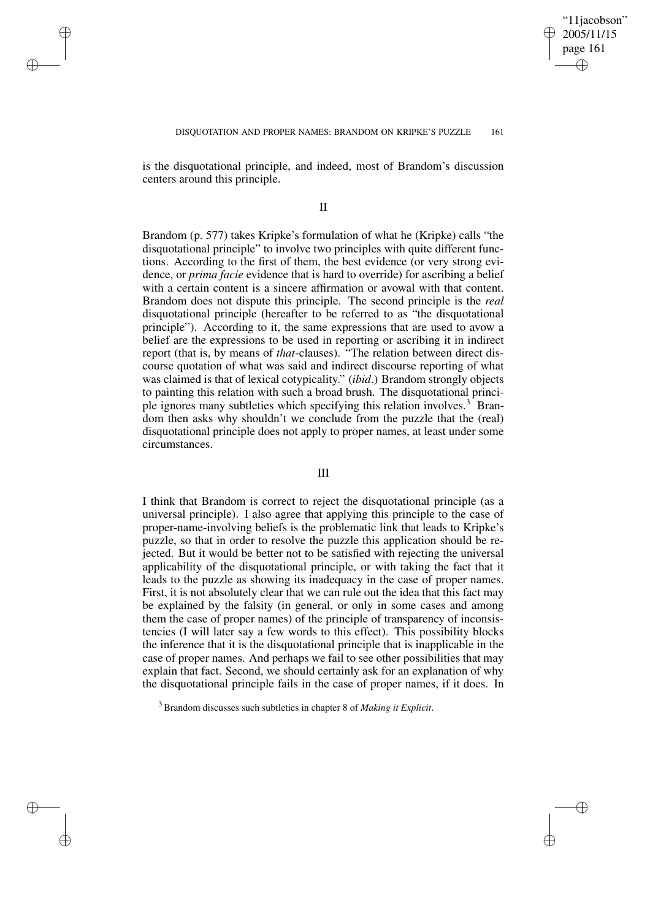✐

✐

is the disquotational principle, and indeed, most of Brandom's discussion centers around this principle.

✐

✐

✐

✐

II

Brandom (p. 577) takes Kripke's formulation of what he (Kripke) calls "the disquotational principle" to involve two principles with quite different functions. According to the first of them, the best evidence (or very strong evidence, or *prima facie* evidence that is hard to override) for ascribing a belief with a certain content is a sincere affirmation or avowal with that content. Brandom does not dispute this principle. The second principle is the *real* disquotational principle (hereafter to be referred to as "the disquotational principle"). According to it, the same expressions that are used to avow a belief are the expressions to be used in reporting or ascribing it in indirect report (that is, by means of *that*-clauses). "The relation between direct discourse quotation of what was said and indirect discourse reporting of what was claimed is that of lexical cotypicality." (*ibid*.) Brandom strongly objects to painting this relation with such a broad brush. The disquotational principle ignores many subtleties which specifying this relation involves.<sup>3</sup> Brandom then asks why shouldn't we conclude from the puzzle that the (real) disquotational principle does not apply to proper names, at least under some circumstances.

# III

I think that Brandom is correct to reject the disquotational principle (as a universal principle). I also agree that applying this principle to the case of proper-name-involving beliefs is the problematic link that leads to Kripke's puzzle, so that in order to resolve the puzzle this application should be rejected. But it would be better not to be satisfied with rejecting the universal applicability of the disquotational principle, or with taking the fact that it leads to the puzzle as showing its inadequacy in the case of proper names. First, it is not absolutely clear that we can rule out the idea that this fact may be explained by the falsity (in general, or only in some cases and among them the case of proper names) of the principle of transparency of inconsistencies (I will later say a few words to this effect). This possibility blocks the inference that it is the disquotational principle that is inapplicable in the case of proper names. And perhaps we fail to see other possibilities that may explain that fact. Second, we should certainly ask for an explanation of why the disquotational principle fails in the case of proper names, if it does. In

<sup>3</sup> Brandom discusses such subtleties in chapter 8 of *Making it Explicit*.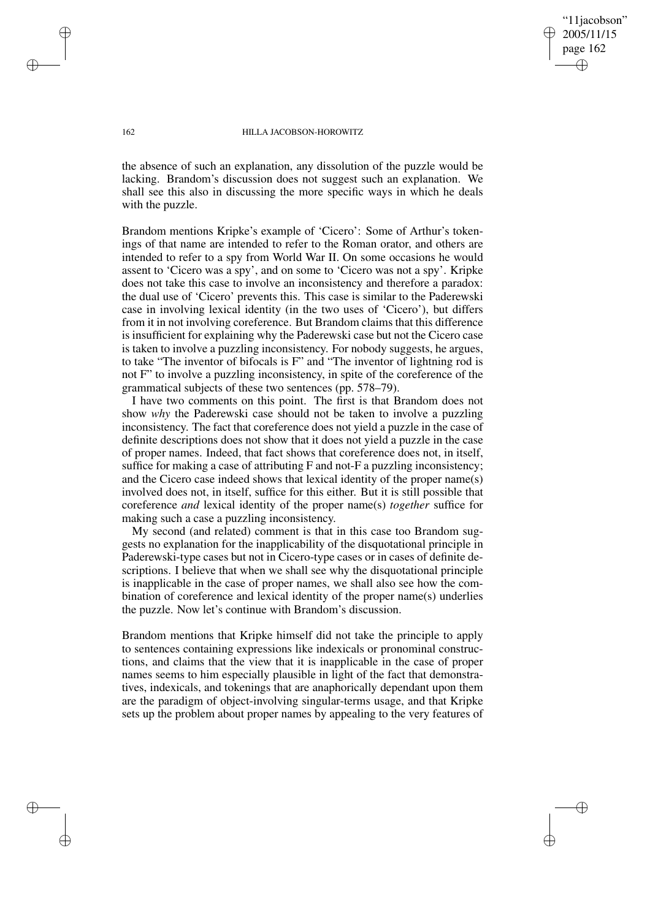"11jacobson" 2005/11/15 page 162 ✐ ✐

✐

✐

#### 162 HILLA JACOBSON-HOROWITZ

the absence of such an explanation, any dissolution of the puzzle would be lacking. Brandom's discussion does not suggest such an explanation. We shall see this also in discussing the more specific ways in which he deals with the puzzle.

Brandom mentions Kripke's example of 'Cicero': Some of Arthur's tokenings of that name are intended to refer to the Roman orator, and others are intended to refer to a spy from World War II. On some occasions he would assent to 'Cicero was a spy', and on some to 'Cicero was not a spy'. Kripke does not take this case to involve an inconsistency and therefore a paradox: the dual use of 'Cicero' prevents this. This case is similar to the Paderewski case in involving lexical identity (in the two uses of 'Cicero'), but differs from it in not involving coreference. But Brandom claims that this difference is insufficient for explaining why the Paderewski case but not the Cicero case is taken to involve a puzzling inconsistency. For nobody suggests, he argues, to take "The inventor of bifocals is F" and "The inventor of lightning rod is not F" to involve a puzzling inconsistency, in spite of the coreference of the grammatical subjects of these two sentences (pp. 578–79).

I have two comments on this point. The first is that Brandom does not show *why* the Paderewski case should not be taken to involve a puzzling inconsistency. The fact that coreference does not yield a puzzle in the case of definite descriptions does not show that it does not yield a puzzle in the case of proper names. Indeed, that fact shows that coreference does not, in itself, suffice for making a case of attributing F and not-F a puzzling inconsistency; and the Cicero case indeed shows that lexical identity of the proper name(s) involved does not, in itself, suffice for this either. But it is still possible that coreference *and* lexical identity of the proper name(s) *together* suffice for making such a case a puzzling inconsistency.

My second (and related) comment is that in this case too Brandom suggests no explanation for the inapplicability of the disquotational principle in Paderewski-type cases but not in Cicero-type cases or in cases of definite descriptions. I believe that when we shall see why the disquotational principle is inapplicable in the case of proper names, we shall also see how the combination of coreference and lexical identity of the proper name(s) underlies the puzzle. Now let's continue with Brandom's discussion.

Brandom mentions that Kripke himself did not take the principle to apply to sentences containing expressions like indexicals or pronominal constructions, and claims that the view that it is inapplicable in the case of proper names seems to him especially plausible in light of the fact that demonstratives, indexicals, and tokenings that are anaphorically dependant upon them are the paradigm of object-involving singular-terms usage, and that Kripke sets up the problem about proper names by appealing to the very features of

✐

✐

✐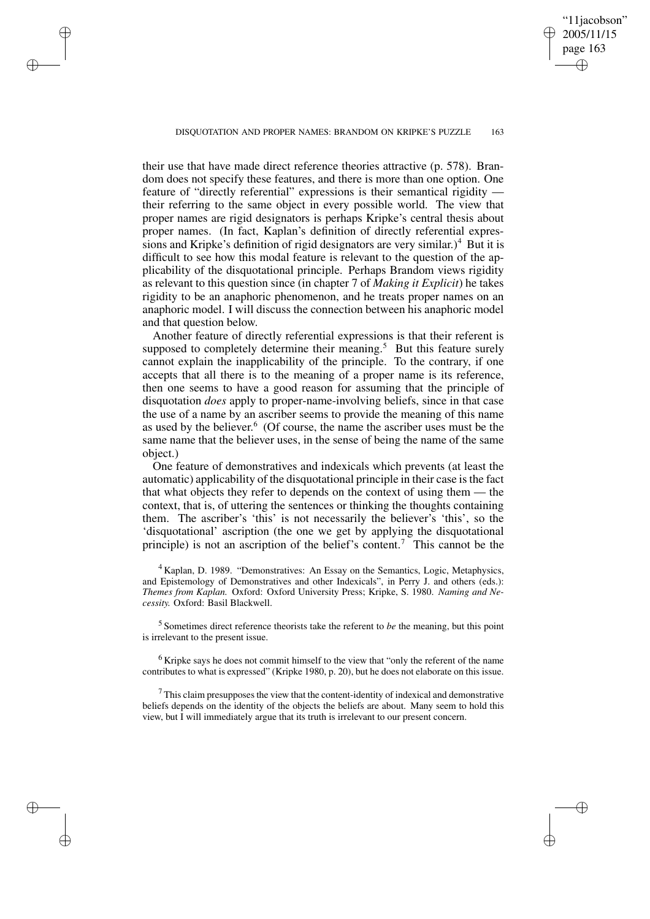DISQUOTATION AND PROPER NAMES: BRANDOM ON KRIPKE'S PUZZLE 163

✐

✐

✐

✐

"11jacobson" 2005/11/15 page 163

✐

✐

✐

✐

their use that have made direct reference theories attractive (p. 578). Brandom does not specify these features, and there is more than one option. One feature of "directly referential" expressions is their semantical rigidity their referring to the same object in every possible world. The view that proper names are rigid designators is perhaps Kripke's central thesis about proper names. (In fact, Kaplan's definition of directly referential expressions and Kripke's definition of rigid designators are very similar.)<sup>4</sup> But it is difficult to see how this modal feature is relevant to the question of the applicability of the disquotational principle. Perhaps Brandom views rigidity as relevant to this question since (in chapter 7 of *Making it Explicit*) he takes rigidity to be an anaphoric phenomenon, and he treats proper names on an anaphoric model. I will discuss the connection between his anaphoric model and that question below.

Another feature of directly referential expressions is that their referent is supposed to completely determine their meaning.<sup>5</sup> But this feature surely cannot explain the inapplicability of the principle. To the contrary, if one accepts that all there is to the meaning of a proper name is its reference, then one seems to have a good reason for assuming that the principle of disquotation *does* apply to proper-name-involving beliefs, since in that case the use of a name by an ascriber seems to provide the meaning of this name as used by the believer. 6 (Of course, the name the ascriber uses must be the same name that the believer uses, in the sense of being the name of the same object.)

One feature of demonstratives and indexicals which prevents (at least the automatic) applicability of the disquotational principle in their case isthe fact that what objects they refer to depends on the context of using them — the context, that is, of uttering the sentences or thinking the thoughts containing them. The ascriber's 'this' is not necessarily the believer's 'this', so the 'disquotational' ascription (the one we get by applying the disquotational principle) is not an ascription of the belief's content.<sup>7</sup> This cannot be the

<sup>4</sup> Kaplan, D. 1989. "Demonstratives: An Essay on the Semantics, Logic, Metaphysics, and Epistemology of Demonstratives and other Indexicals", in Perry J. and others (eds.): *Themes from Kaplan.* Oxford: Oxford University Press; Kripke, S. 1980. *Naming and Necessity.* Oxford: Basil Blackwell.

5 Sometimes direct reference theorists take the referent to *be* the meaning, but this point is irrelevant to the present issue.

<sup>6</sup> Kripke says he does not commit himself to the view that "only the referent of the name contributes to what is expressed" (Kripke 1980, p. 20), but he does not elaborate on this issue.

 $7$  This claim presupposes the view that the content-identity of indexical and demonstrative beliefs depends on the identity of the objects the beliefs are about. Many seem to hold this view, but I will immediately argue that its truth is irrelevant to our present concern.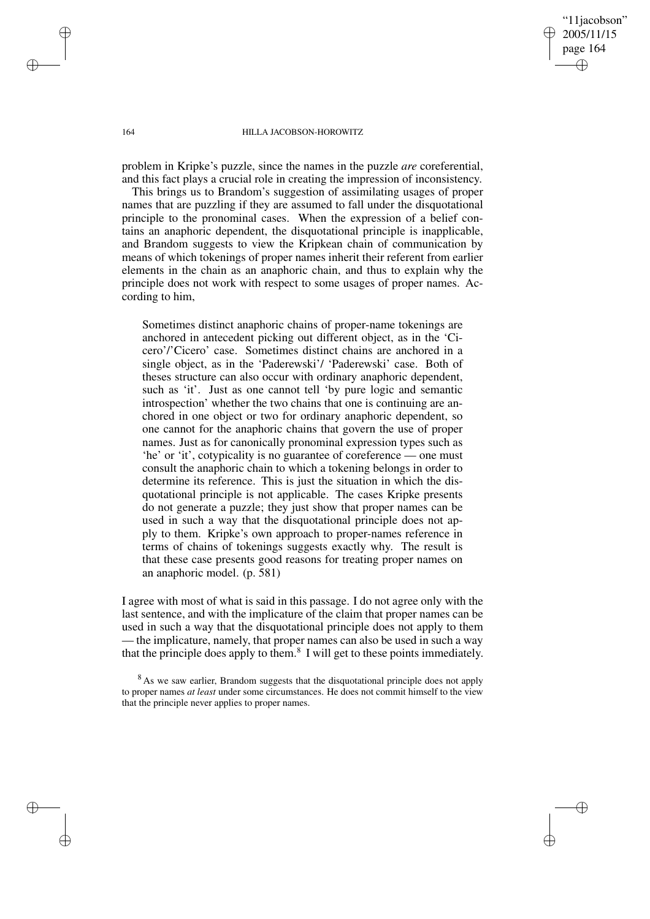"11jacobson" 2005/11/15 page 164 ✐ ✐

✐

✐

#### 164 HILLA JACOBSON-HOROWITZ

problem in Kripke's puzzle, since the names in the puzzle *are* coreferential, and this fact plays a crucial role in creating the impression of inconsistency.

This brings us to Brandom's suggestion of assimilating usages of proper names that are puzzling if they are assumed to fall under the disquotational principle to the pronominal cases. When the expression of a belief contains an anaphoric dependent, the disquotational principle is inapplicable, and Brandom suggests to view the Kripkean chain of communication by means of which tokenings of proper names inherit their referent from earlier elements in the chain as an anaphoric chain, and thus to explain why the principle does not work with respect to some usages of proper names. According to him,

Sometimes distinct anaphoric chains of proper-name tokenings are anchored in antecedent picking out different object, as in the 'Cicero'/'Cicero' case. Sometimes distinct chains are anchored in a single object, as in the 'Paderewski'/ 'Paderewski' case. Both of theses structure can also occur with ordinary anaphoric dependent, such as 'it'. Just as one cannot tell 'by pure logic and semantic introspection' whether the two chains that one is continuing are anchored in one object or two for ordinary anaphoric dependent, so one cannot for the anaphoric chains that govern the use of proper names. Just as for canonically pronominal expression types such as 'he' or 'it', cotypicality is no guarantee of coreference — one must consult the anaphoric chain to which a tokening belongs in order to determine its reference. This is just the situation in which the disquotational principle is not applicable. The cases Kripke presents do not generate a puzzle; they just show that proper names can be used in such a way that the disquotational principle does not apply to them. Kripke's own approach to proper-names reference in terms of chains of tokenings suggests exactly why. The result is that these case presents good reasons for treating proper names on an anaphoric model. (p. 581)

I agree with most of what is said in this passage. I do not agree only with the last sentence, and with the implicature of the claim that proper names can be used in such a way that the disquotational principle does not apply to them — the implicature, namely, that proper names can also be used in such a way that the principle does apply to them.<sup>8</sup> I will get to these points immediately.

✐

✐

✐

<sup>&</sup>lt;sup>8</sup> As we saw earlier, Brandom suggests that the disquotational principle does not apply to proper names *at least* under some circumstances. He does not commit himself to the view that the principle never applies to proper names.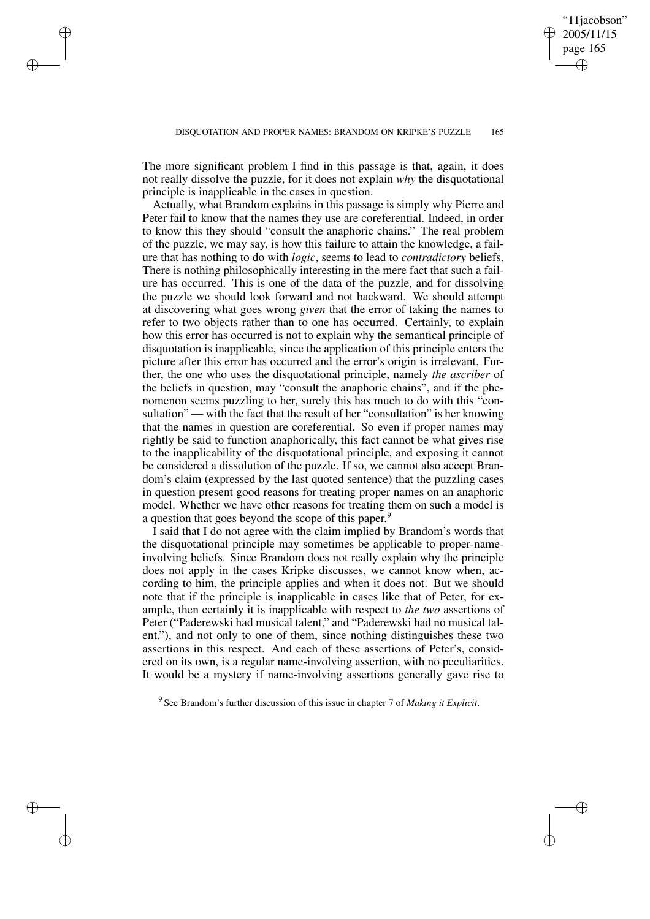'11*jacobson*" 2005/11/15 page 165

✐

✐

✐

✐

The more significant problem I find in this passage is that, again, it does not really dissolve the puzzle, for it does not explain *why* the disquotational principle is inapplicable in the cases in question.

✐

✐

✐

✐

Actually, what Brandom explains in this passage is simply why Pierre and Peter fail to know that the names they use are coreferential. Indeed, in order to know this they should "consult the anaphoric chains." The real problem of the puzzle, we may say, is how this failure to attain the knowledge, a failure that has nothing to do with *logic*, seems to lead to *contradictory* beliefs. There is nothing philosophically interesting in the mere fact that such a failure has occurred. This is one of the data of the puzzle, and for dissolving the puzzle we should look forward and not backward. We should attempt at discovering what goes wrong *given* that the error of taking the names to refer to two objects rather than to one has occurred. Certainly, to explain how this error has occurred is not to explain why the semantical principle of disquotation is inapplicable, since the application of this principle enters the picture after this error has occurred and the error's origin is irrelevant. Further, the one who uses the disquotational principle, namely *the ascriber* of the beliefs in question, may "consult the anaphoric chains", and if the phenomenon seems puzzling to her, surely this has much to do with this "consultation" — with the fact that the result of her "consultation" is her knowing that the names in question are coreferential. So even if proper names may rightly be said to function anaphorically, this fact cannot be what gives rise to the inapplicability of the disquotational principle, and exposing it cannot be considered a dissolution of the puzzle. If so, we cannot also accept Brandom's claim (expressed by the last quoted sentence) that the puzzling cases in question present good reasons for treating proper names on an anaphoric model. Whether we have other reasons for treating them on such a model is a question that goes beyond the scope of this paper.<sup>9</sup>

I said that I do not agree with the claim implied by Brandom's words that the disquotational principle may sometimes be applicable to proper-nameinvolving beliefs. Since Brandom does not really explain why the principle does not apply in the cases Kripke discusses, we cannot know when, according to him, the principle applies and when it does not. But we should note that if the principle is inapplicable in cases like that of Peter, for example, then certainly it is inapplicable with respect to *the two* assertions of Peter ("Paderewski had musical talent," and "Paderewski had no musical talent."), and not only to one of them, since nothing distinguishes these two assertions in this respect. And each of these assertions of Peter's, considered on its own, is a regular name-involving assertion, with no peculiarities. It would be a mystery if name-involving assertions generally gave rise to

9 See Brandom's further discussion of this issue in chapter 7 of *Making it Explicit*.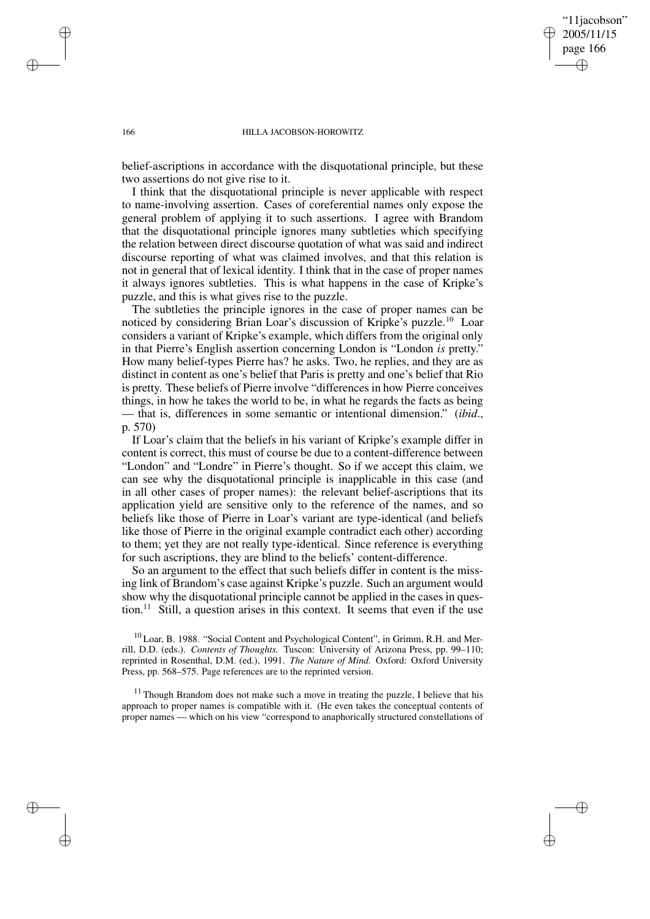"11jacobson" 2005/11/15 page 166 ✐ ✐

✐

✐

#### 166 HILLA JACOBSON-HOROWITZ

belief-ascriptions in accordance with the disquotational principle, but these two assertions do not give rise to it.

I think that the disquotational principle is never applicable with respect to name-involving assertion. Cases of coreferential names only expose the general problem of applying it to such assertions. I agree with Brandom that the disquotational principle ignores many subtleties which specifying the relation between direct discourse quotation of what was said and indirect discourse reporting of what was claimed involves, and that this relation is not in general that of lexical identity. I think that in the case of proper names it always ignores subtleties. This is what happens in the case of Kripke's puzzle, and this is what gives rise to the puzzle.

The subtleties the principle ignores in the case of proper names can be noticed by considering Brian Loar's discussion of Kripke's puzzle.<sup>10</sup> Loar considers a variant of Kripke's example, which differs from the original only in that Pierre's English assertion concerning London is "London *is* pretty." How many belief-types Pierre has? he asks. Two, he replies, and they are as distinct in content as one's belief that Paris is pretty and one's belief that Rio is pretty. These beliefs of Pierre involve "differences in how Pierre conceives things, in how he takes the world to be, in what he regards the facts as being — that is, differences in some semantic or intentional dimension." (*ibid*., p. 570)

If Loar's claim that the beliefs in his variant of Kripke's example differ in content is correct, this must of course be due to a content-difference between "London" and "Londre" in Pierre's thought. So if we accept this claim, we can see why the disquotational principle is inapplicable in this case (and in all other cases of proper names): the relevant belief-ascriptions that its application yield are sensitive only to the reference of the names, and so beliefs like those of Pierre in Loar's variant are type-identical (and beliefs like those of Pierre in the original example contradict each other) according to them; yet they are not really type-identical. Since reference is everything for such ascriptions, they are blind to the beliefs' content-difference.

So an argument to the effect that such beliefs differ in content is the missing link of Brandom's case against Kripke's puzzle. Such an argument would show why the disquotational principle cannot be applied in the cases in question.<sup>11</sup> Still, a question arises in this context. It seems that even if the use

<sup>10</sup> Loar, B. 1988. "Social Content and Psychological Content", in Grimm, R.H. and Merrill, D.D. (eds.). *Contents of Thoughts.* Tuscon: University of Arizona Press, pp. 99–110; reprinted in Rosenthal, D.M. (ed.), 1991. *The Nature of Mind.* Oxford: Oxford University Press, pp. 568–575. Page references are to the reprinted version.

 $11$  Though Brandom does not make such a move in treating the puzzle, I believe that his approach to proper names is compatible with it. (He even takes the conceptual contents of proper names — which on his view "correspond to anaphorically structured constellations of

✐

✐

✐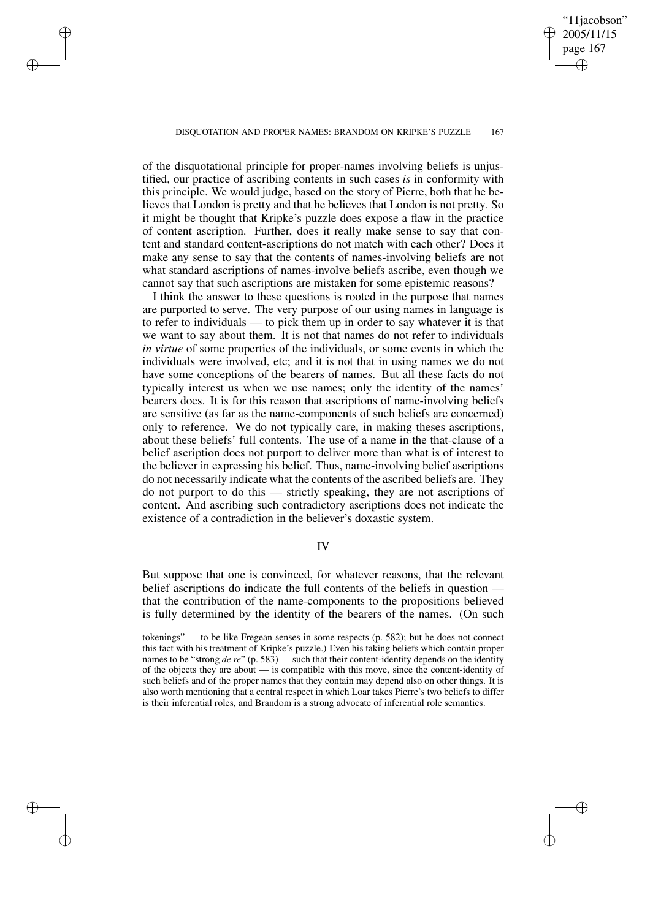'11*jacobson*" 2005/11/15 page 167

✐

✐

✐

✐

of the disquotational principle for proper-names involving beliefs is unjustified, our practice of ascribing contents in such cases *is* in conformity with this principle. We would judge, based on the story of Pierre, both that he believes that London is pretty and that he believes that London is not pretty. So it might be thought that Kripke's puzzle does expose a flaw in the practice of content ascription. Further, does it really make sense to say that content and standard content-ascriptions do not match with each other? Does it make any sense to say that the contents of names-involving beliefs are not what standard ascriptions of names-involve beliefs ascribe, even though we cannot say that such ascriptions are mistaken for some epistemic reasons?

✐

✐

✐

✐

I think the answer to these questions is rooted in the purpose that names are purported to serve. The very purpose of our using names in language is to refer to individuals — to pick them up in order to say whatever it is that we want to say about them. It is not that names do not refer to individuals *in virtue* of some properties of the individuals, or some events in which the individuals were involved, etc; and it is not that in using names we do not have some conceptions of the bearers of names. But all these facts do not typically interest us when we use names; only the identity of the names' bearers does. It is for this reason that ascriptions of name-involving beliefs are sensitive (as far as the name-components of such beliefs are concerned) only to reference. We do not typically care, in making theses ascriptions, about these beliefs' full contents. The use of a name in the that-clause of a belief ascription does not purport to deliver more than what is of interest to the believer in expressing his belief. Thus, name-involving belief ascriptions do not necessarily indicate what the contents of the ascribed beliefs are. They do not purport to do this — strictly speaking, they are not ascriptions of content. And ascribing such contradictory ascriptions does not indicate the existence of a contradiction in the believer's doxastic system.

### IV

But suppose that one is convinced, for whatever reasons, that the relevant belief ascriptions do indicate the full contents of the beliefs in question that the contribution of the name-components to the propositions believed is fully determined by the identity of the bearers of the names. (On such

tokenings" — to be like Fregean senses in some respects (p. 582); but he does not connect this fact with his treatment of Kripke's puzzle.) Even his taking beliefs which contain proper names to be "strong *de re*" (p. 583) — such that their content-identity depends on the identity of the objects they are about — is compatible with this move, since the content-identity of such beliefs and of the proper names that they contain may depend also on other things. It is also worth mentioning that a central respect in which Loar takes Pierre's two beliefs to differ is their inferential roles, and Brandom is a strong advocate of inferential role semantics.